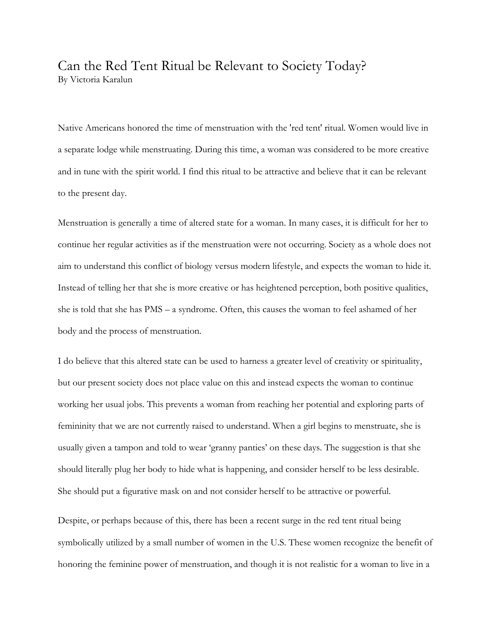## Can the Red Tent Ritual be Relevant to Society Today? By Victoria Karalun

Native Americans honored the time of menstruation with the 'red tent' ritual. Women would live in a separate lodge while menstruating. During this time, a woman was considered to be more creative and in tune with the spirit world. I find this ritual to be attractive and believe that it can be relevant to the present day.

Menstruation is generally a time of altered state for a woman. In many cases, it is difficult for her to continue her regular activities as if the menstruation were not occurring. Society as a whole does not aim to understand this conflict of biology versus modern lifestyle, and expects the woman to hide it. Instead of telling her that she is more creative or has heightened perception, both positive qualities, she is told that she has PMS – a syndrome. Often, this causes the woman to feel ashamed of her body and the process of menstruation.

I do believe that this altered state can be used to harness a greater level of creativity or spirituality, but our present society does not place value on this and instead expects the woman to continue working her usual jobs. This prevents a woman from reaching her potential and exploring parts of femininity that we are not currently raised to understand. When a girl begins to menstruate, she is usually given a tampon and told to wear 'granny panties' on these days. The suggestion is that she should literally plug her body to hide what is happening, and consider herself to be less desirable. She should put a figurative mask on and not consider herself to be attractive or powerful.

Despite, or perhaps because of this, there has been a recent surge in the red tent ritual being symbolically utilized by a small number of women in the U.S. These women recognize the benefit of honoring the feminine power of menstruation, and though it is not realistic for a woman to live in a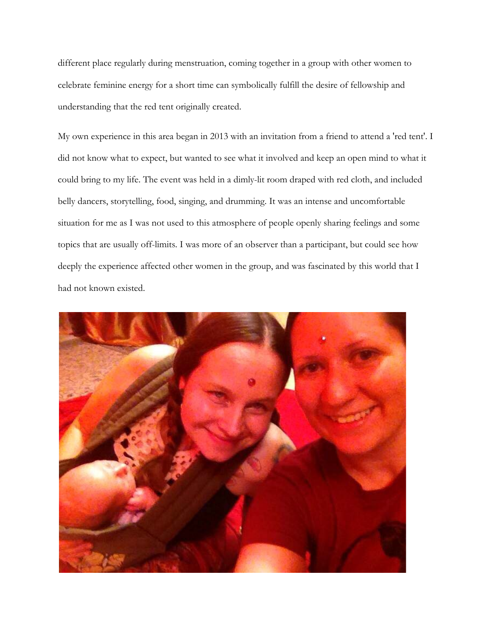different place regularly during menstruation, coming together in a group with other women to celebrate feminine energy for a short time can symbolically fulfill the desire of fellowship and understanding that the red tent originally created.

My own experience in this area began in 2013 with an invitation from a friend to attend a 'red tent'. I did not know what to expect, but wanted to see what it involved and keep an open mind to what it could bring to my life. The event was held in a dimly-lit room draped with red cloth, and included belly dancers, storytelling, food, singing, and drumming. It was an intense and uncomfortable situation for me as I was not used to this atmosphere of people openly sharing feelings and some topics that are usually off-limits. I was more of an observer than a participant, but could see how deeply the experience affected other women in the group, and was fascinated by this world that I had not known existed.

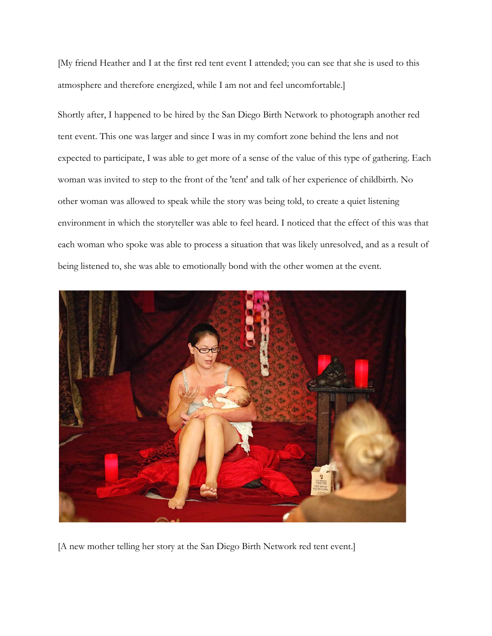[My friend Heather and I at the first red tent event I attended; you can see that she is used to this atmosphere and therefore energized, while I am not and feel uncomfortable.]

Shortly after, I happened to be hired by the San Diego Birth Network to photograph another red tent event. This one was larger and since I was in my comfort zone behind the lens and not expected to participate, I was able to get more of a sense of the value of this type of gathering. Each woman was invited to step to the front of the 'tent' and talk of her experience of childbirth. No other woman was allowed to speak while the story was being told, to create a quiet listening environment in which the storyteller was able to feel heard. I noticed that the effect of this was that each woman who spoke was able to process a situation that was likely unresolved, and as a result of being listened to, she was able to emotionally bond with the other women at the event.



[A new mother telling her story at the San Diego Birth Network red tent event.]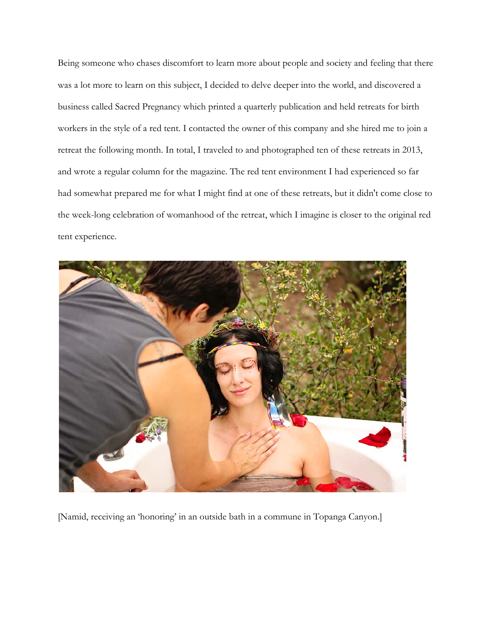Being someone who chases discomfort to learn more about people and society and feeling that there was a lot more to learn on this subject, I decided to delve deeper into the world, and discovered a business called Sacred Pregnancy which printed a quarterly publication and held retreats for birth workers in the style of a red tent. I contacted the owner of this company and she hired me to join a retreat the following month. In total, I traveled to and photographed ten of these retreats in 2013, and wrote a regular column for the magazine. The red tent environment I had experienced so far had somewhat prepared me for what I might find at one of these retreats, but it didn't come close to the week-long celebration of womanhood of the retreat, which I imagine is closer to the original red tent experience.



[Namid, receiving an 'honoring' in an outside bath in a commune in Topanga Canyon.]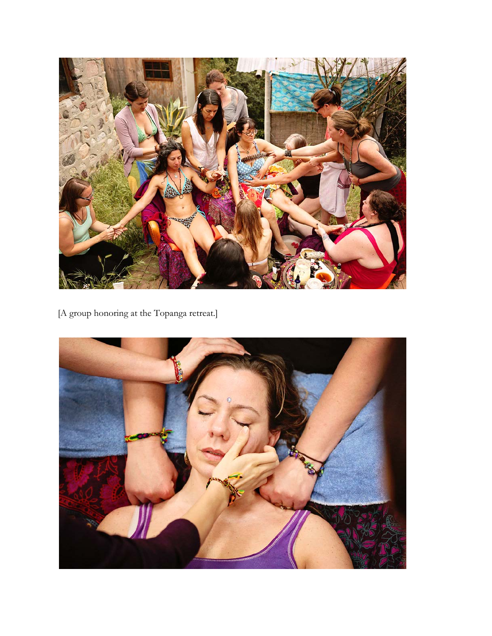

[A group honoring at the Topanga retreat.]

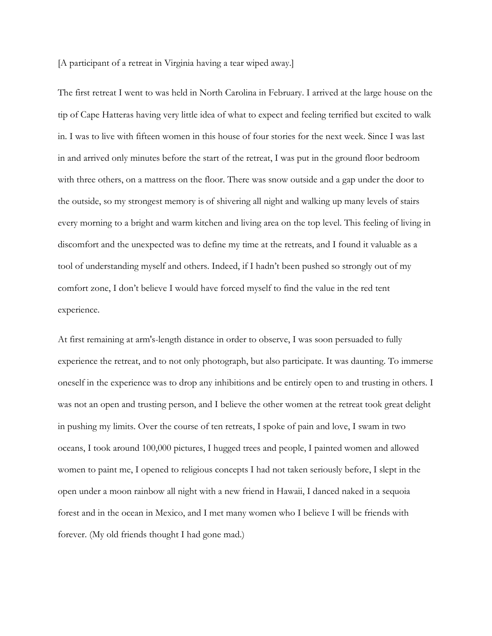[A participant of a retreat in Virginia having a tear wiped away.]

The first retreat I went to was held in North Carolina in February. I arrived at the large house on the tip of Cape Hatteras having very little idea of what to expect and feeling terrified but excited to walk in. I was to live with fifteen women in this house of four stories for the next week. Since I was last in and arrived only minutes before the start of the retreat, I was put in the ground floor bedroom with three others, on a mattress on the floor. There was snow outside and a gap under the door to the outside, so my strongest memory is of shivering all night and walking up many levels of stairs every morning to a bright and warm kitchen and living area on the top level. This feeling of living in discomfort and the unexpected was to define my time at the retreats, and I found it valuable as a tool of understanding myself and others. Indeed, if I hadn't been pushed so strongly out of my comfort zone, I don't believe I would have forced myself to find the value in the red tent experience.

At first remaining at arm's-length distance in order to observe, I was soon persuaded to fully experience the retreat, and to not only photograph, but also participate. It was daunting. To immerse oneself in the experience was to drop any inhibitions and be entirely open to and trusting in others. I was not an open and trusting person, and I believe the other women at the retreat took great delight in pushing my limits. Over the course of ten retreats, I spoke of pain and love, I swam in two oceans, I took around 100,000 pictures, I hugged trees and people, I painted women and allowed women to paint me, I opened to religious concepts I had not taken seriously before, I slept in the open under a moon rainbow all night with a new friend in Hawaii, I danced naked in a sequoia forest and in the ocean in Mexico, and I met many women who I believe I will be friends with forever. (My old friends thought I had gone mad.)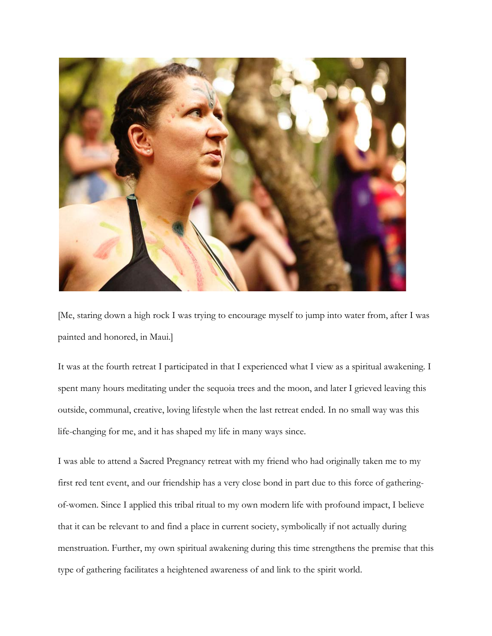

[Me, staring down a high rock I was trying to encourage myself to jump into water from, after I was painted and honored, in Maui.]

It was at the fourth retreat I participated in that I experienced what I view as a spiritual awakening. I spent many hours meditating under the sequoia trees and the moon, and later I grieved leaving this outside, communal, creative, loving lifestyle when the last retreat ended. In no small way was this life-changing for me, and it has shaped my life in many ways since.

I was able to attend a Sacred Pregnancy retreat with my friend who had originally taken me to my first red tent event, and our friendship has a very close bond in part due to this force of gatheringof-women. Since I applied this tribal ritual to my own modern life with profound impact, I believe that it can be relevant to and find a place in current society, symbolically if not actually during menstruation. Further, my own spiritual awakening during this time strengthens the premise that this type of gathering facilitates a heightened awareness of and link to the spirit world.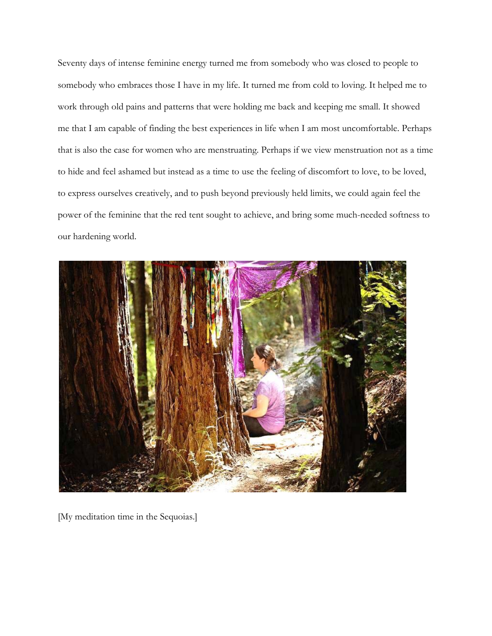Seventy days of intense feminine energy turned me from somebody who was closed to people to somebody who embraces those I have in my life. It turned me from cold to loving. It helped me to work through old pains and patterns that were holding me back and keeping me small. It showed me that I am capable of finding the best experiences in life when I am most uncomfortable. Perhaps that is also the case for women who are menstruating. Perhaps if we view menstruation not as a time to hide and feel ashamed but instead as a time to use the feeling of discomfort to love, to be loved, to express ourselves creatively, and to push beyond previously held limits, we could again feel the power of the feminine that the red tent sought to achieve, and bring some much-needed softness to our hardening world.



[My meditation time in the Sequoias.]